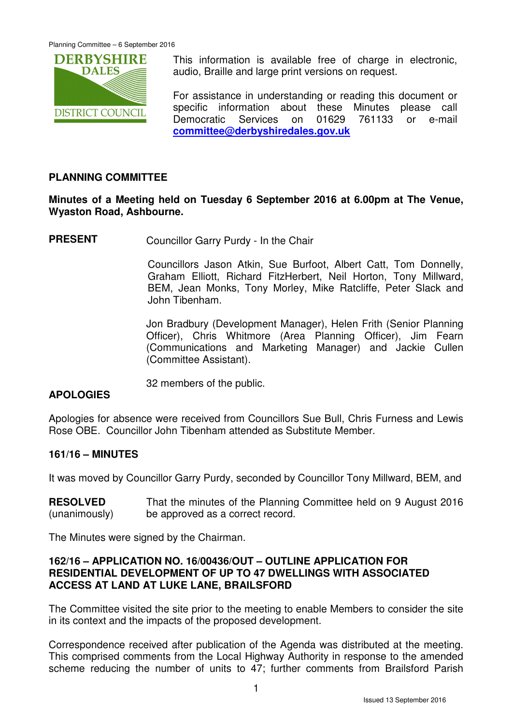

This information is available free of charge in electronic, audio, Braille and large print versions on request.

For assistance in understanding or reading this document or specific information about these Minutes please call Democratic Services on 01629 761133 or e-mail **committee@derbyshiredales.gov.uk**

# **PLANNING COMMITTEE**

# **Minutes of a Meeting held on Tuesday 6 September 2016 at 6.00pm at The Venue, Wyaston Road, Ashbourne.**

**PRESENT** Councillor Garry Purdy - In the Chair

 Councillors Jason Atkin, Sue Burfoot, Albert Catt, Tom Donnelly, Graham Elliott, Richard FitzHerbert, Neil Horton, Tony Millward, BEM, Jean Monks, Tony Morley, Mike Ratcliffe, Peter Slack and John Tibenham.

Jon Bradbury (Development Manager), Helen Frith (Senior Planning Officer), Chris Whitmore (Area Planning Officer), Jim Fearn (Communications and Marketing Manager) and Jackie Cullen (Committee Assistant).

32 members of the public.

#### **APOLOGIES**

Apologies for absence were received from Councillors Sue Bull, Chris Furness and Lewis Rose OBE. Councillor John Tibenham attended as Substitute Member.

# **161/16 – MINUTES**

It was moved by Councillor Garry Purdy, seconded by Councillor Tony Millward, BEM, and

**RESOLVED** (unanimously) That the minutes of the Planning Committee held on 9 August 2016 be approved as a correct record.

The Minutes were signed by the Chairman.

#### **162/16 – APPLICATION NO. 16/00436/OUT – OUTLINE APPLICATION FOR RESIDENTIAL DEVELOPMENT OF UP TO 47 DWELLINGS WITH ASSOCIATED ACCESS AT LAND AT LUKE LANE, BRAILSFORD**

The Committee visited the site prior to the meeting to enable Members to consider the site in its context and the impacts of the proposed development.

Correspondence received after publication of the Agenda was distributed at the meeting. This comprised comments from the Local Highway Authority in response to the amended scheme reducing the number of units to 47; further comments from Brailsford Parish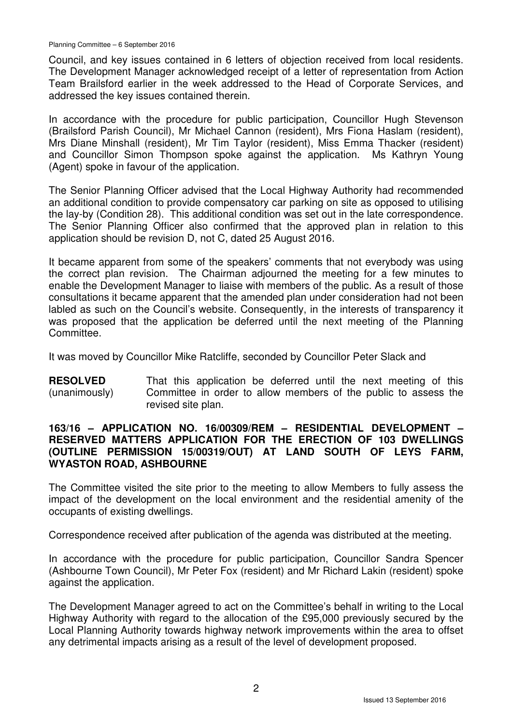Council, and key issues contained in 6 letters of objection received from local residents. The Development Manager acknowledged receipt of a letter of representation from Action Team Brailsford earlier in the week addressed to the Head of Corporate Services, and addressed the key issues contained therein.

In accordance with the procedure for public participation, Councillor Hugh Stevenson (Brailsford Parish Council), Mr Michael Cannon (resident), Mrs Fiona Haslam (resident), Mrs Diane Minshall (resident), Mr Tim Taylor (resident), Miss Emma Thacker (resident) and Councillor Simon Thompson spoke against the application. Ms Kathryn Young (Agent) spoke in favour of the application.

The Senior Planning Officer advised that the Local Highway Authority had recommended an additional condition to provide compensatory car parking on site as opposed to utilising the lay-by (Condition 28). This additional condition was set out in the late correspondence. The Senior Planning Officer also confirmed that the approved plan in relation to this application should be revision D, not C, dated 25 August 2016.

It became apparent from some of the speakers' comments that not everybody was using the correct plan revision. The Chairman adjourned the meeting for a few minutes to enable the Development Manager to liaise with members of the public. As a result of those consultations it became apparent that the amended plan under consideration had not been labled as such on the Council's website. Consequently, in the interests of transparency it was proposed that the application be deferred until the next meeting of the Planning Committee.

It was moved by Councillor Mike Ratcliffe, seconded by Councillor Peter Slack and

**RESOLVED** (unanimously) That this application be deferred until the next meeting of this Committee in order to allow members of the public to assess the revised site plan.

#### **163/16 – APPLICATION NO. 16/00309/REM – RESIDENTIAL DEVELOPMENT – RESERVED MATTERS APPLICATION FOR THE ERECTION OF 103 DWELLINGS (OUTLINE PERMISSION 15/00319/OUT) AT LAND SOUTH OF LEYS FARM, WYASTON ROAD, ASHBOURNE**

The Committee visited the site prior to the meeting to allow Members to fully assess the impact of the development on the local environment and the residential amenity of the occupants of existing dwellings.

Correspondence received after publication of the agenda was distributed at the meeting.

In accordance with the procedure for public participation, Councillor Sandra Spencer (Ashbourne Town Council), Mr Peter Fox (resident) and Mr Richard Lakin (resident) spoke against the application.

The Development Manager agreed to act on the Committee's behalf in writing to the Local Highway Authority with regard to the allocation of the £95,000 previously secured by the Local Planning Authority towards highway network improvements within the area to offset any detrimental impacts arising as a result of the level of development proposed.